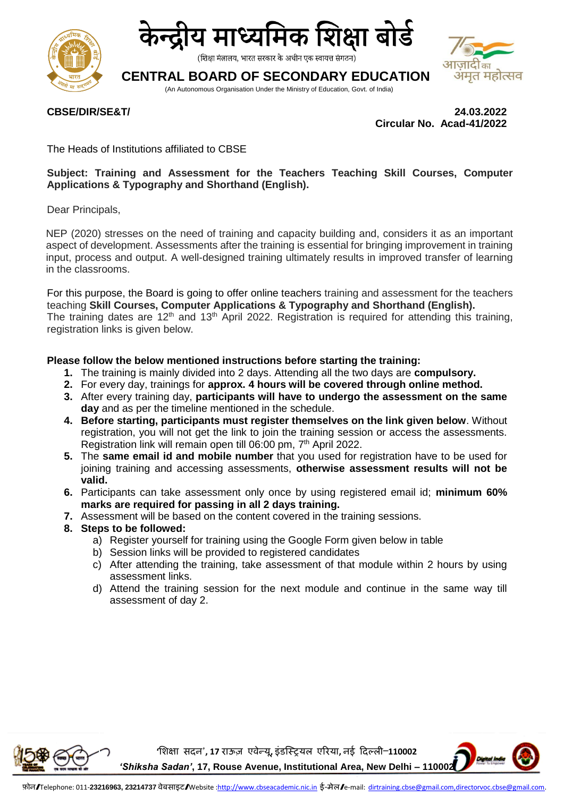



(शिक्षा मंत्रालय, भारत सरकार के अधीन एक स्वायत्त संगठन)

# **CENTRAL BOARD OF SECONDARY EDUCATION**

(An Autonomous Organisation Under the Ministry of Education, Govt. of India)



**CBSE/DIR/SE&T/ 24.03.2022 Circular No. Acad-41/2022**

The Heads of Institutions affiliated to CBSE

## **Subject: Training and Assessment for the Teachers Teaching Skill Courses, Computer Applications & Typography and Shorthand (English).**

Dear Principals,

NEP (2020) stresses on the need of training and capacity building and, considers it as an important aspect of development. Assessments after the training is essential for bringing improvement in training input, process and output. A well-designed training ultimately results in improved transfer of learning in the classrooms.

For this purpose, the Board is going to offer online teachers training and assessment for the teachers teaching **Skill Courses, Computer Applications & Typography and Shorthand (English).** The training dates are 12<sup>th</sup> and 13<sup>th</sup> April 2022. Registration is required for attending this training, registration links is given below.

### **Please follow the below mentioned instructions before starting the training:**

- **1.** The training is mainly divided into 2 days. Attending all the two days are **compulsory.**
- **2.** For every day, trainings for **approx. 4 hours will be covered through online method.**
- **3.** After every training day, **participants will have to undergo the assessment on the same day** and as per the timeline mentioned in the schedule.
- **4. Before starting, participants must register themselves on the link given below**. Without registration, you will not get the link to join the training session or access the assessments. Registration link will remain open till 06:00 pm, 7<sup>th</sup> April 2022.
- **5.** The **same email id and mobile number** that you used for registration have to be used for joining training and accessing assessments, **otherwise assessment results will not be valid.**
- **6.** Participants can take assessment only once by using registered email id; **minimum 60% marks are required for passing in all 2 days training.**
- **7.** Assessment will be based on the content covered in the training sessions.
- **8. Steps to be followed:**
	- a) Register yourself for training using the Google Form given below in table
	- b) Session links will be provided to registered candidates
	- c) After attending the training, take assessment of that module within 2 hours by using assessment links.
	- d) Attend the training session for the next module and continue in the same way till assessment of day 2.



**'शिक्षा सदन', 17 राऊज़ एवेन्यू, इंडस्ट्रियल एररया, नई ददल्ली–110002**

*'Shiksha Sadan'***, 17, Rouse Avenue, Institutional Area, New Delhi – 110002**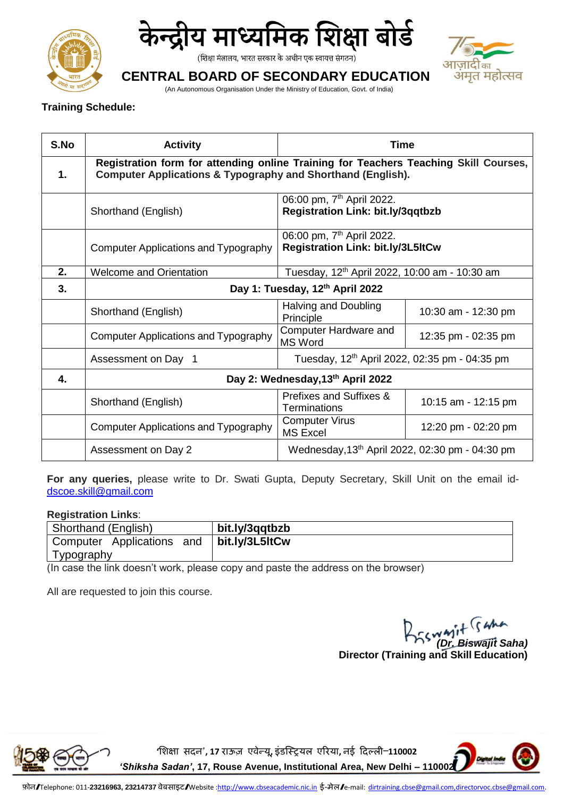



(शिक्षा मंत्रालय, भारत सरकार के अधीन एक स्वायत्त संगठन)



# **CENTRAL BOARD OF SECONDARY EDUCATION**

(An Autonomous Organisation Under the Ministry of Education, Govt. of India)

## **Training Schedule:**

| S.No           | <b>Activity</b>                                                                                                                                                | <b>Time</b>                                                                       |                     |
|----------------|----------------------------------------------------------------------------------------------------------------------------------------------------------------|-----------------------------------------------------------------------------------|---------------------|
| $\mathbf{1}$ . | Registration form for attending online Training for Teachers Teaching Skill Courses,<br><b>Computer Applications &amp; Typography and Shorthand (English).</b> |                                                                                   |                     |
|                | Shorthand (English)                                                                                                                                            | 06:00 pm, 7 <sup>th</sup> April 2022.<br><b>Registration Link: bit.ly/3qqtbzb</b> |                     |
|                | Computer Applications and Typography                                                                                                                           | 06:00 pm, 7 <sup>th</sup> April 2022.<br><b>Registration Link: bit.ly/3L5ltCw</b> |                     |
| 2.             | <b>Welcome and Orientation</b>                                                                                                                                 | Tuesday, 12 <sup>th</sup> April 2022, 10:00 am - 10:30 am                         |                     |
| 3.             | Day 1: Tuesday, 12th April 2022                                                                                                                                |                                                                                   |                     |
|                | Shorthand (English)                                                                                                                                            | Halving and Doubling<br>Principle                                                 | 10:30 am - 12:30 pm |
|                | <b>Computer Applications and Typography</b>                                                                                                                    | Computer Hardware and<br><b>MS Word</b>                                           | 12:35 pm - 02:35 pm |
|                | Assessment on Day 1                                                                                                                                            | Tuesday, 12 <sup>th</sup> April 2022, 02:35 pm - 04:35 pm                         |                     |
| 4.             | Day 2: Wednesday, 13th April 2022                                                                                                                              |                                                                                   |                     |
|                | Shorthand (English)                                                                                                                                            | Prefixes and Suffixes &<br><b>Terminations</b>                                    | 10:15 am - 12:15 pm |
|                | Computer Applications and Typography                                                                                                                           | <b>Computer Virus</b><br><b>MS Excel</b>                                          | 12:20 pm - 02:20 pm |
|                | Assessment on Day 2                                                                                                                                            | Wednesday, 13 <sup>th</sup> April 2022, 02:30 pm - 04:30 pm                       |                     |

**For any queries,** please write to Dr. Swati Gupta, Deputy Secretary, Skill Unit on the email id[dscoe.skill@gmail.com](mailto:dscoe.skill@gmail.com)

### **Registration Links**:

| Shorthand (English)                                                                                 | bit.ly/3qqtbzb |  |  |
|-----------------------------------------------------------------------------------------------------|----------------|--|--|
| Computer Applications and                                                                           | bit.ly/3L5ItCw |  |  |
| Typography                                                                                          |                |  |  |
| لمحمرين ومطارمها والمستحقق والمستحاظ والمعامر والمسمى ومحمولون واستبرز المسمولة وامرار وطارمهم وبال |                |  |  |

(In case the link doesn't work, please copy and paste the address on the browser)

All are requested to join this course.

*(Dr. Biswajit Saha)*  **Director (Training and Skill Education)**



**'शिक्षा सदन', 17 राऊज़ एवेन्यू, इंडस्ट्रियल एररया, नई ददल्ली–110002**

*'Shiksha Sadan'***, 17, Rouse Avenue, Institutional Area, New Delhi – 110002**